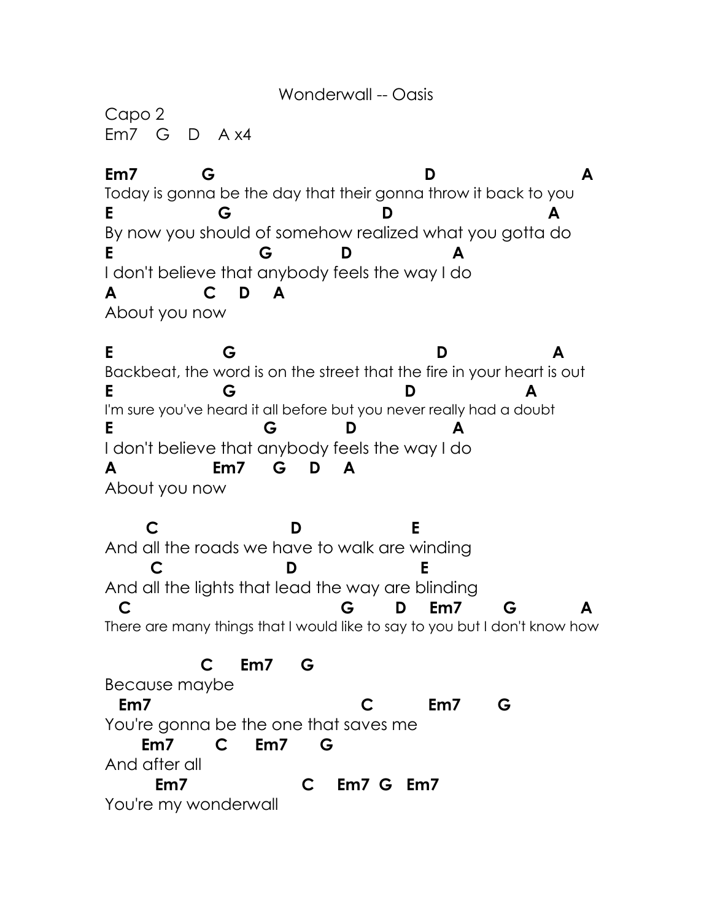Wonderwall -- Oasis

Capo 2 Em7 G D A x4

**Em7 G D A** Today is gonna be the day that their gonna throw it back to you **E G D A** By now you should of somehow realized what you gotta do **E G D A** I don't believe that anybody feels the way I do **A C D A**  About you now

**E G D A** Backbeat, the word is on the street that the fire in your heart is out **E G D A** I'm sure you've heard it all before but you never really had a doubt **E G D A** I don't believe that anybody feels the way I do **A Em7 G D A** About you now

 **C D E** And all the roads we have to walk are winding  **C D E** And all the lights that lead the way are blinding  **C G D Em7 G A** There are many things that I would like to say to you but I don't know how

 **C Em7 G**  Because maybe  **Em7 C Em7 G** You're gonna be the one that saves me  **Em7 C Em7 G** And after all  **Em7 C Em7 G Em7** You're my wonderwall